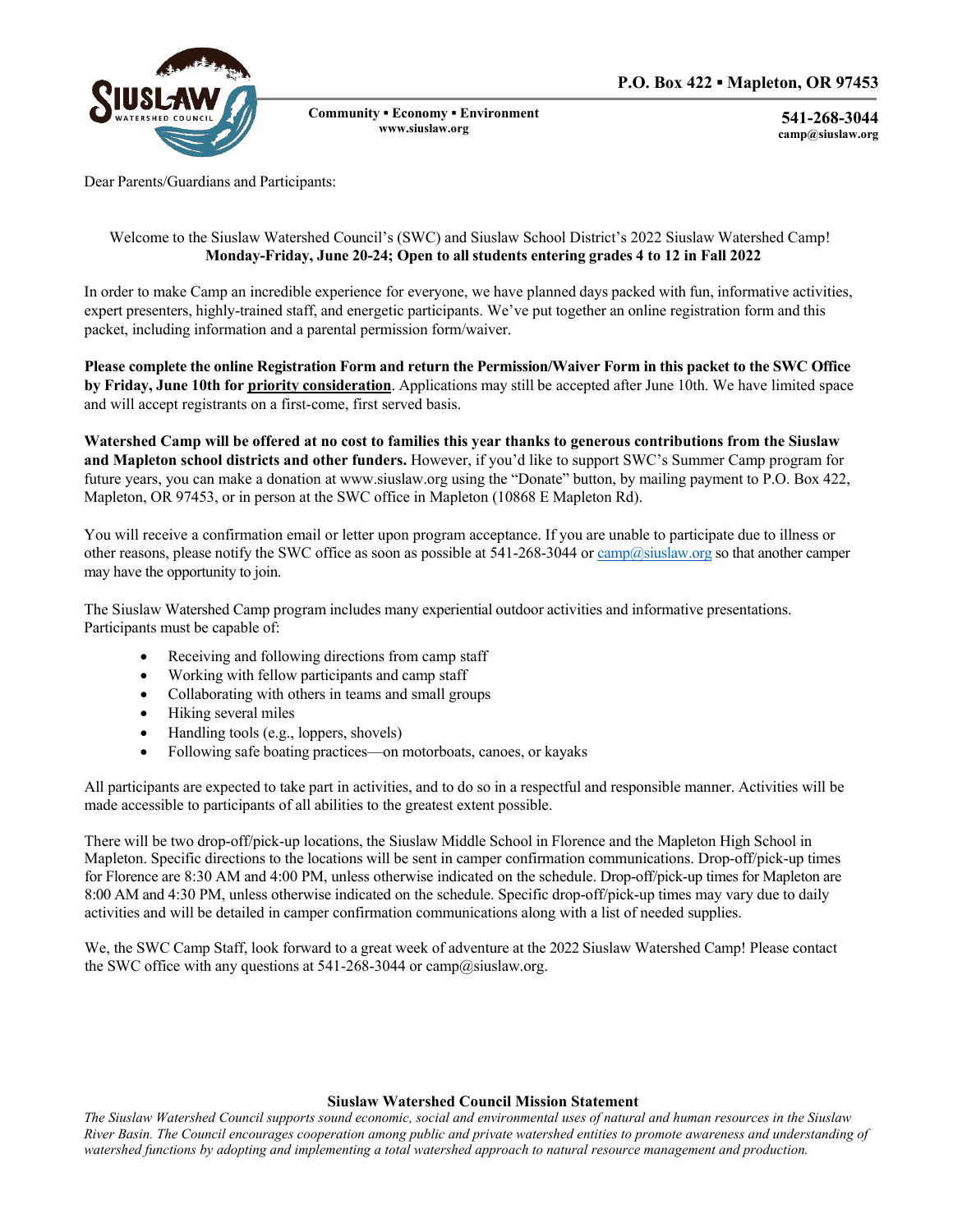

**Community ▪ Economy ▪ Environment www.siuslaw.org**

**541-268-3044 camp@siuslaw.org**

Dear Parents/Guardians and Participants:

### Welcome to the Siuslaw Watershed Council's (SWC) and Siuslaw School District's 2022 Siuslaw Watershed Camp! **Monday-Friday, June 20-24; Open to all students entering grades 4 to 12 in Fall 2022**

In order to make Camp an incredible experience for everyone, we have planned days packed with fun, informative activities, expert presenters, highly-trained staff, and energetic participants. We've put together an online registration form and this packet, including information and a parental permission form/waiver.

**Please complete the online Registration Form and return the Permission/Waiver Form in this packet to the SWC Office by Friday, June 10th for priority consideration**. Applications may still be accepted after June 10th. We have limited space and will accept registrants on a first-come, first served basis.

**Watershed Camp will be offered at no cost to families this year thanks to generous contributions from the Siuslaw and Mapleton school districts and other funders.** However, if you'd like to support SWC's Summer Camp program for future years, you can make a donation at www.siuslaw.org using the "Donate" button, by mailing payment to P.O. Box 422, Mapleton, OR 97453, or in person at the SWC office in Mapleton (10868 E Mapleton Rd).

You will receive a confirmation email or letter upon program acceptance. If you are unable to participate due to illness or other reasons, please notify the SWC office as soon as possible at  $541-268-3044$  or [camp@siuslaw.org](mailto:camp@siuslaw.org) so that another camper may have the opportunity to join.

The Siuslaw Watershed Camp program includes many experiential outdoor activities and informative presentations. Participants must be capable of:

- Receiving and following directions from camp staff
- Working with fellow participants and camp staff
- Collaborating with others in teams and small groups
- Hiking several miles
- Handling tools (e.g., loppers, shovels)
- Following safe boating practices—on motorboats, canoes, or kayaks

All participants are expected to take part in activities, and to do so in a respectful and responsible manner. Activities will be made accessible to participants of all abilities to the greatest extent possible.

There will be two drop-off/pick-up locations, the Siuslaw Middle School in Florence and the Mapleton High School in Mapleton. Specific directions to the locations will be sent in camper confirmation communications. Drop-off/pick-up times for Florence are 8:30 AM and 4:00 PM, unless otherwise indicated on the schedule. Drop-off/pick-up times for Mapleton are 8:00 AM and 4:30 PM, unless otherwise indicated on the schedule. Specific drop-off/pick-up times may vary due to daily activities and will be detailed in camper confirmation communications along with a list of needed supplies.

We, the SWC Camp Staff, look forward to a great week of adventure at the 2022 Siuslaw Watershed Camp! Please contact the SWC office with any questions at 541-268-3044 or camp@siuslaw.org.

### **Siuslaw Watershed Council Mission Statement**

*The Siuslaw Watershed Council supports sound economic, social and environmental uses of natural and human resources in the Siuslaw River Basin. The Council encourages cooperation among public and private watershed entities to promote awareness and understanding of watershed functions by adopting and implementing a total watershed approach to natural resource management and production.*